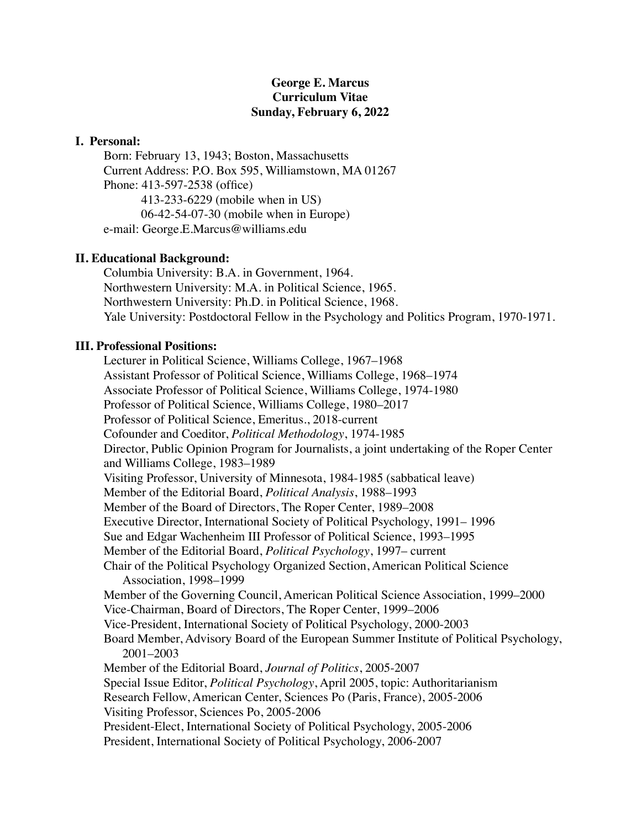# **George E. Marcus Curriculum Vitae Sunday, February 6, 2022**

## **I. Personal:**

Born: February 13, 1943; Boston, Massachusetts Current Address: P.O. Box 595, Williamstown, MA 01267 Phone: 413-597-2538 (office) 413-233-6229 (mobile when in US) 06-42-54-07-30 (mobile when in Europe) e-mail: George.E.Marcus@williams.edu

# **II. Educational Background:**

Columbia University: B.A. in Government, 1964. Northwestern University: M.A. in Political Science, 1965. Northwestern University: Ph.D. in Political Science, 1968. Yale University: Postdoctoral Fellow in the Psychology and Politics Program, 1970-1971.

## **III. Professional Positions:**

Lecturer in Political Science, Williams College, 1967–1968 Assistant Professor of Political Science, Williams College, 1968–1974 Associate Professor of Political Science, Williams College, 1974-1980 Professor of Political Science, Williams College, 1980–2017 Professor of Political Science, Emeritus., 2018-current Cofounder and Coeditor, *Political Methodology*, 1974-1985 Director, Public Opinion Program for Journalists, a joint undertaking of the Roper Center and Williams College, 1983–1989 Visiting Professor, University of Minnesota, 1984-1985 (sabbatical leave) Member of the Editorial Board, *Political Analysis*, 1988–1993 Member of the Board of Directors, The Roper Center, 1989–2008 Executive Director, International Society of Political Psychology, 1991– 1996 Sue and Edgar Wachenheim III Professor of Political Science, 1993–1995 Member of the Editorial Board, *Political Psychology*, 1997– current Chair of the Political Psychology Organized Section, American Political Science Association, 1998–1999 Member of the Governing Council, American Political Science Association, 1999–2000 Vice-Chairman, Board of Directors, The Roper Center, 1999–2006 Vice-President, International Society of Political Psychology, 2000-2003 Board Member, Advisory Board of the European Summer Institute of Political Psychology, 2001–2003 Member of the Editorial Board, *Journal of Politics*, 2005-2007 Special Issue Editor, *Political Psychology*, April 2005, topic: Authoritarianism Research Fellow, American Center, Sciences Po (Paris, France), 2005-2006 Visiting Professor, Sciences Po, 2005-2006 President-Elect, International Society of Political Psychology, 2005-2006 President, International Society of Political Psychology, 2006-2007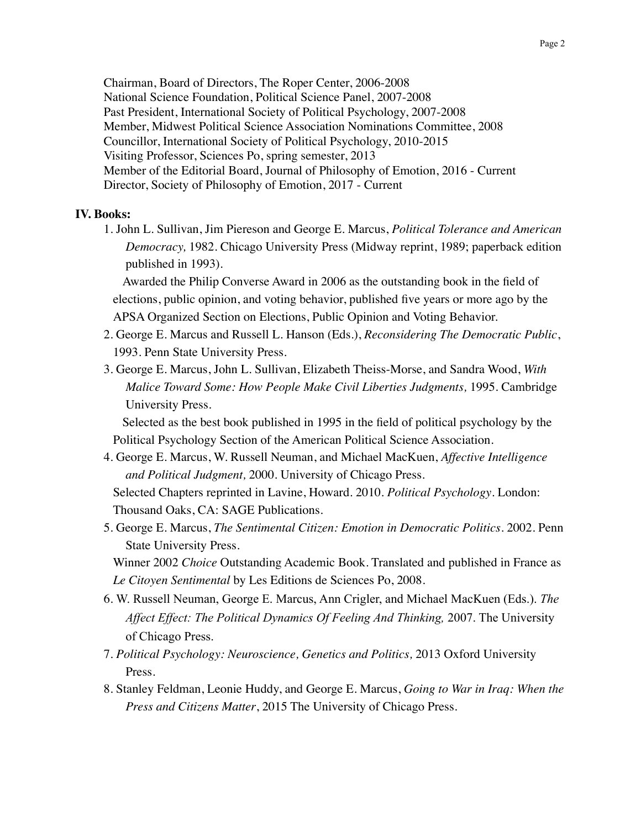Chairman, Board of Directors, The Roper Center, 2006-2008 National Science Foundation, Political Science Panel, 2007-2008 Past President, International Society of Political Psychology, 2007-2008 Member, Midwest Political Science Association Nominations Committee, 2008 Councillor, International Society of Political Psychology, 2010-2015 Visiting Professor, Sciences Po, spring semester, 2013 Member of the Editorial Board, Journal of Philosophy of Emotion, 2016 - Current Director, Society of Philosophy of Emotion, 2017 - Current

## **IV. Books:**

1. John L. Sullivan, Jim Piereson and George E. Marcus, *Political Tolerance and American Democracy,* 1982. Chicago University Press (Midway reprint, 1989; paperback edition published in 1993).

Awarded the Philip Converse Award in 2006 as the outstanding book in the field of elections, public opinion, and voting behavior, published five years or more ago by the APSA Organized Section on Elections, Public Opinion and Voting Behavior.

- 2. George E. Marcus and Russell L. Hanson (Eds.), *Reconsidering The Democratic Public*, 1993. Penn State University Press.
- 3. George E. Marcus, John L. Sullivan, Elizabeth Theiss-Morse, and Sandra Wood, *With Malice Toward Some: How People Make Civil Liberties Judgments,* 1995. Cambridge University Press.

Selected as the best book published in 1995 in the field of political psychology by the Political Psychology Section of the American Political Science Association.

- 4. George E. Marcus, W. Russell Neuman, and Michael MacKuen, *Affective Intelligence and Political Judgment,* 2000. University of Chicago Press. Selected Chapters reprinted in Lavine, Howard. 2010. *Political Psychology*. London: Thousand Oaks, CA: SAGE Publications.
- 5. George E. Marcus, *The Sentimental Citizen: Emotion in Democratic Politics*. 2002. Penn State University Press.

Winner 2002 *Choice* Outstanding Academic Book. Translated and published in France as *Le Citoyen Sentimental* by Les Editions de Sciences Po, 2008.

- 6. W. Russell Neuman, George E. Marcus, Ann Crigler, and Michael MacKuen (Eds.). *The Affect Effect: The Political Dynamics Of Feeling And Thinking,* 2007. The University of Chicago Press.
- 7. *Political Psychology: Neuroscience, Genetics and Politics,* 2013 Oxford University Press.
- 8. Stanley Feldman, Leonie Huddy, and George E. Marcus, *Going to War in Iraq: When the Press and Citizens Matter*, 2015 The University of Chicago Press.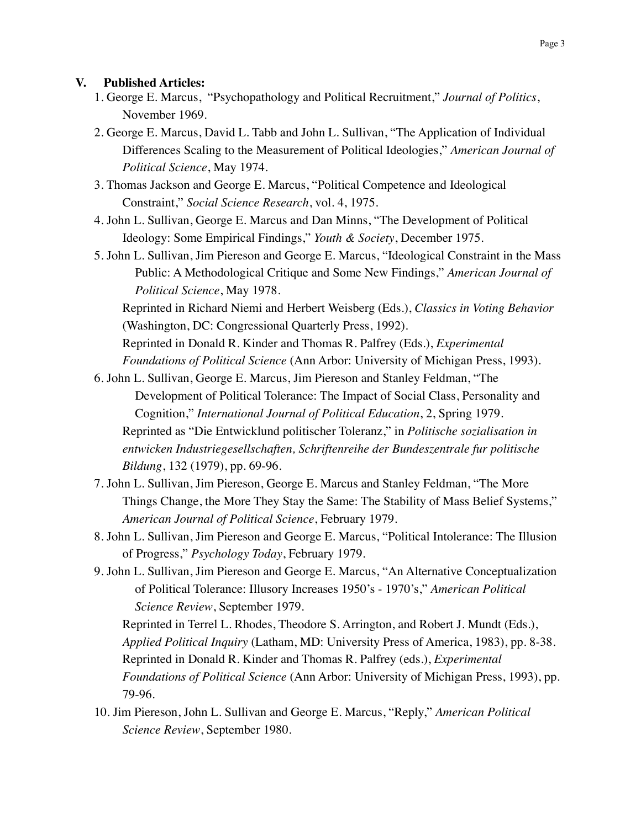# **V. Published Articles:**

- 1. George E. Marcus, "Psychopathology and Political Recruitment," *Journal of Politics*, November 1969.
- 2. George E. Marcus, David L. Tabb and John L. Sullivan, "The Application of Individual Differences Scaling to the Measurement of Political Ideologies," *American Journal of Political Science*, May 1974.
- 3. Thomas Jackson and George E. Marcus, "Political Competence and Ideological Constraint," *Social Science Research*, vol. 4, 1975.
- 4. John L. Sullivan, George E. Marcus and Dan Minns, "The Development of Political Ideology: Some Empirical Findings," *Youth & Society*, December 1975.
- 5. John L. Sullivan, Jim Piereson and George E. Marcus, "Ideological Constraint in the Mass Public: A Methodological Critique and Some New Findings," *American Journal of Political Science*, May 1978.

Reprinted in Richard Niemi and Herbert Weisberg (Eds.), *Classics in Voting Behavior* (Washington, DC: Congressional Quarterly Press, 1992).

Reprinted in Donald R. Kinder and Thomas R. Palfrey (Eds.), *Experimental Foundations of Political Science* (Ann Arbor: University of Michigan Press, 1993).

6. John L. Sullivan, George E. Marcus, Jim Piereson and Stanley Feldman, "The Development of Political Tolerance: The Impact of Social Class, Personality and Cognition," *International Journal of Political Education*, 2, Spring 1979. Reprinted as "Die Entwicklund politischer Toleranz," in *Politische sozialisation in entwicken Industriegesellschaften, Schriftenreihe der Bundeszentrale fur politische* 

*Bildung*, 132 (1979), pp. 69-96.

- 7. John L. Sullivan, Jim Piereson, George E. Marcus and Stanley Feldman, "The More Things Change, the More They Stay the Same: The Stability of Mass Belief Systems," *American Journal of Political Science*, February 1979.
- 8. John L. Sullivan, Jim Piereson and George E. Marcus, "Political Intolerance: The Illusion of Progress," *Psychology Today*, February 1979.
- 9. John L. Sullivan, Jim Piereson and George E. Marcus, "An Alternative Conceptualization of Political Tolerance: Illusory Increases 1950's - 1970's," *American Political Science Review*, September 1979.

Reprinted in Terrel L. Rhodes, Theodore S. Arrington, and Robert J. Mundt (Eds.), *Applied Political Inquiry* (Latham, MD: University Press of America, 1983), pp. 8-38. Reprinted in Donald R. Kinder and Thomas R. Palfrey (eds.), *Experimental Foundations of Political Science* (Ann Arbor: University of Michigan Press, 1993), pp. 79-96.

10. Jim Piereson, John L. Sullivan and George E. Marcus, "Reply," *American Political Science Review*, September 1980.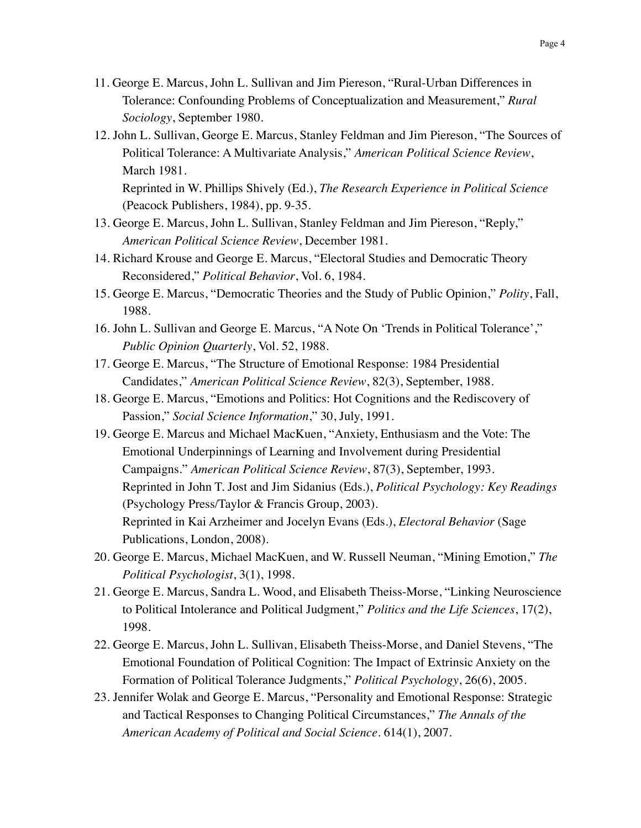- 11. George E. Marcus, John L. Sullivan and Jim Piereson, "Rural-Urban Differences in Tolerance: Confounding Problems of Conceptualization and Measurement," *Rural Sociology*, September 1980.
- 12. John L. Sullivan, George E. Marcus, Stanley Feldman and Jim Piereson, "The Sources of Political Tolerance: A Multivariate Analysis," *American Political Science Review*, March 1981. Reprinted in W. Phillips Shively (Ed.), *The Research Experience in Political Science*

(Peacock Publishers, 1984), pp. 9-35.

- 13. George E. Marcus, John L. Sullivan, Stanley Feldman and Jim Piereson, "Reply," *American Political Science Review*, December 1981.
- 14. Richard Krouse and George E. Marcus, "Electoral Studies and Democratic Theory Reconsidered," *Political Behavior*, Vol. 6, 1984.
- 15. George E. Marcus, "Democratic Theories and the Study of Public Opinion," *Polity*, Fall, 1988.
- 16. John L. Sullivan and George E. Marcus, "A Note On 'Trends in Political Tolerance'," *Public Opinion Quarterly*, Vol. 52, 1988.
- 17. George E. Marcus, "The Structure of Emotional Response: 1984 Presidential Candidates," *American Political Science Review*, 82(3), September, 1988.
- 18. George E. Marcus, "Emotions and Politics: Hot Cognitions and the Rediscovery of Passion," *Social Science Information*," 30, July, 1991.
- 19. George E. Marcus and Michael MacKuen, "Anxiety, Enthusiasm and the Vote: The Emotional Underpinnings of Learning and Involvement during Presidential Campaigns." *American Political Science Review*, 87(3), September, 1993. Reprinted in John T. Jost and Jim Sidanius (Eds.), *Political Psychology: Key Readings* (Psychology Press/Taylor & Francis Group, 2003). Reprinted in Kai Arzheimer and Jocelyn Evans (Eds.), *Electoral Behavior* (Sage Publications, London, 2008).
- 20. George E. Marcus, Michael MacKuen, and W. Russell Neuman, "Mining Emotion," *The Political Psychologist*, 3(1), 1998.
- 21. George E. Marcus, Sandra L. Wood, and Elisabeth Theiss-Morse, "Linking Neuroscience to Political Intolerance and Political Judgment," *Politics and the Life Sciences*, 17(2), 1998.
- 22. George E. Marcus, John L. Sullivan, Elisabeth Theiss-Morse, and Daniel Stevens, "The Emotional Foundation of Political Cognition: The Impact of Extrinsic Anxiety on the Formation of Political Tolerance Judgments," *Political Psychology*, 26(6), 2005.
- 23. Jennifer Wolak and George E. Marcus, "Personality and Emotional Response: Strategic and Tactical Responses to Changing Political Circumstances," *The Annals of the American Academy of Political and Social Science*. 614(1), 2007.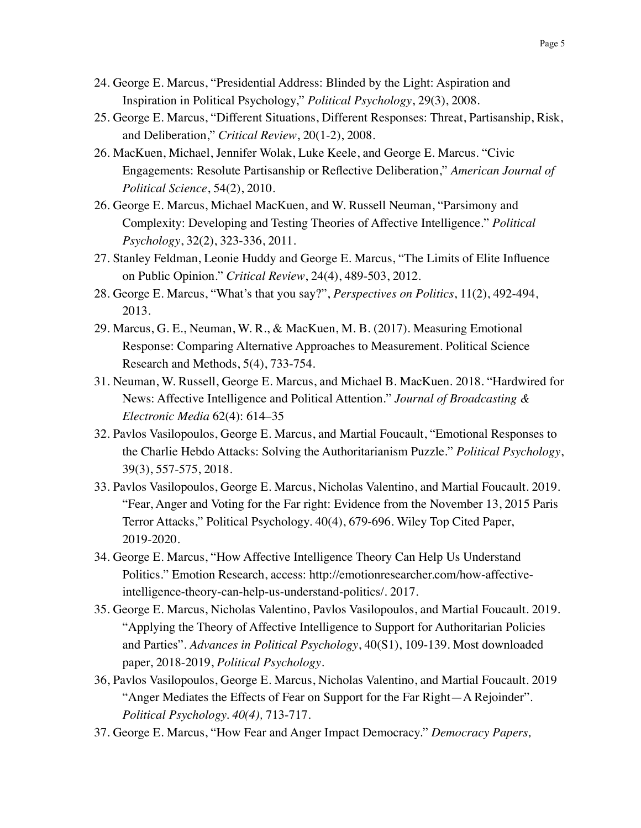- 24. George E. Marcus, "Presidential Address: Blinded by the Light: Aspiration and Inspiration in Political Psychology," *Political Psychology*, 29(3), 2008.
- 25. George E. Marcus, "Different Situations, Different Responses: Threat, Partisanship, Risk, and Deliberation," *Critical Review*, 20(1-2), 2008.
- 26. MacKuen, Michael, Jennifer Wolak, Luke Keele, and George E. Marcus. "Civic Engagements: Resolute Partisanship or Reflective Deliberation," *American Journal of Political Science*, 54(2), 2010.
- 26. George E. Marcus, Michael MacKuen, and W. Russell Neuman, "Parsimony and Complexity: Developing and Testing Theories of Affective Intelligence." *Political Psychology*, 32(2), 323-336, 2011.
- 27. Stanley Feldman, Leonie Huddy and George E. Marcus, "The Limits of Elite Influence on Public Opinion." *Critical Review*, 24(4), 489-503, 2012.
- 28. George E. Marcus, "What's that you say?", *Perspectives on Politics*, 11(2), 492-494, 2013.
- 29. Marcus, G. E., Neuman, W. R., & MacKuen, M. B. (2017). Measuring Emotional Response: Comparing Alternative Approaches to Measurement. Political Science Research and Methods, 5(4), 733-754.
- 31. Neuman, W. Russell, George E. Marcus, and Michael B. MacKuen. 2018. "Hardwired for News: Affective Intelligence and Political Attention." *Journal of Broadcasting & Electronic Media* 62(4): 614–35
- 32. Pavlos Vasilopoulos, George E. Marcus, and Martial Foucault, "Emotional Responses to the Charlie Hebdo Attacks: Solving the Authoritarianism Puzzle." *Political Psychology*, 39(3), 557-575, 2018.
- 33. Pavlos Vasilopoulos, George E. Marcus, Nicholas Valentino, and Martial Foucault. 2019. "Fear, Anger and Voting for the Far right: Evidence from the November 13, 2015 Paris Terror Attacks," Political Psychology. 40(4), 679-696. Wiley Top Cited Paper, 2019-2020.
- 34. George E. Marcus, "How Affective Intelligence Theory Can Help Us Understand Politics." Emotion Research, access: [http://emotionresearcher.com/how-affective](http://emotionresearcher.com/how-affective-intelligence-theory-can-help-us-understand-politics/)[intelligence-theory-can-help-us-understand-politics/. 2017.](http://emotionresearcher.com/how-affective-intelligence-theory-can-help-us-understand-politics/)
- 35. George E. Marcus, Nicholas Valentino, Pavlos Vasilopoulos, and Martial Foucault. 2019. "Applying the Theory of Affective Intelligence to Support for Authoritarian Policies and Parties". *Advances in Political Psychology*, 40(S1), 109-139. Most downloaded paper, 2018-2019, *Political Psychology*.
- 36, Pavlos Vasilopoulos, George E. Marcus, Nicholas Valentino, and Martial Foucault. 2019 "Anger Mediates the Effects of Fear on Support for the Far Right—A Rejoinder". *Political Psychology. 40(4),* 713-717*.*
- 37. George E. Marcus, "How Fear and Anger Impact Democracy." *Democracy Papers,*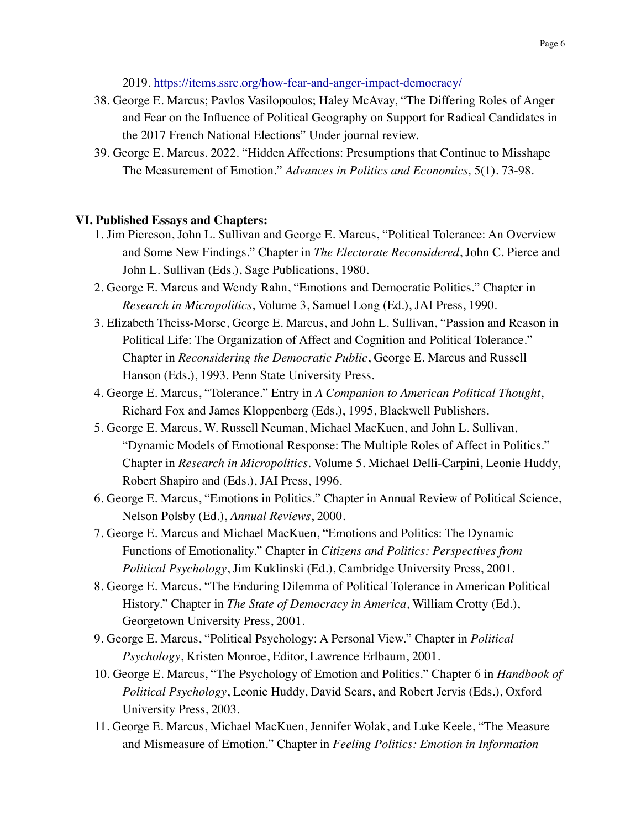2019. <https://items.ssrc.org/how-fear-and-anger-impact-democracy/>

- 38. George E. Marcus; Pavlos Vasilopoulos; Haley McAvay, "The Differing Roles of Anger and Fear on the Influence of Political Geography on Support for Radical Candidates in the 2017 French National Elections" Under journal review.
- 39. George E. Marcus. 2022. "Hidden Affections: Presumptions that Continue to Misshape The Measurement of Emotion." *Advances in Politics and Economics,* 5(1). 73-98.

## **VI. Published Essays and Chapters:**

- 1. Jim Piereson, John L. Sullivan and George E. Marcus, "Political Tolerance: An Overview and Some New Findings." Chapter in *The Electorate Reconsidered*, John C. Pierce and John L. Sullivan (Eds.), Sage Publications, 1980.
- 2. George E. Marcus and Wendy Rahn, "Emotions and Democratic Politics." Chapter in *Research in Micropolitics*, Volume 3, Samuel Long (Ed.), JAI Press, 1990.
- 3. Elizabeth Theiss-Morse, George E. Marcus, and John L. Sullivan, "Passion and Reason in Political Life: The Organization of Affect and Cognition and Political Tolerance." Chapter in *Reconsidering the Democratic Public*, George E. Marcus and Russell Hanson (Eds.), 1993. Penn State University Press.
- 4. George E. Marcus, "Tolerance." Entry in *A Companion to American Political Thought*, Richard Fox and James Kloppenberg (Eds.), 1995, Blackwell Publishers.
- 5. George E. Marcus, W. Russell Neuman, Michael MacKuen, and John L. Sullivan, "Dynamic Models of Emotional Response: The Multiple Roles of Affect in Politics." Chapter in *Research in Micropolitics*. Volume 5. Michael Delli-Carpini, Leonie Huddy, Robert Shapiro and (Eds.), JAI Press, 1996.
- 6. George E. Marcus, "Emotions in Politics." Chapter in Annual Review of Political Science, Nelson Polsby (Ed.), *Annual Reviews*, 2000.
- 7. George E. Marcus and Michael MacKuen, "Emotions and Politics: The Dynamic Functions of Emotionality." Chapter in *Citizens and Politics: Perspectives from Political Psychology*, Jim Kuklinski (Ed.), Cambridge University Press, 2001.
- 8. George E. Marcus. "The Enduring Dilemma of Political Tolerance in American Political History." Chapter in *The State of Democracy in America*, William Crotty (Ed.), Georgetown University Press, 2001.
- 9. George E. Marcus, "Political Psychology: A Personal View." Chapter in *Political Psychology*, Kristen Monroe, Editor, Lawrence Erlbaum, 2001.
- 10. George E. Marcus, "The Psychology of Emotion and Politics." Chapter 6 in *Handbook of Political Psychology*, Leonie Huddy, David Sears, and Robert Jervis (Eds.), Oxford University Press, 2003.
- 11. George E. Marcus, Michael MacKuen, Jennifer Wolak, and Luke Keele, "The Measure and Mismeasure of Emotion." Chapter in *Feeling Politics: Emotion in Information*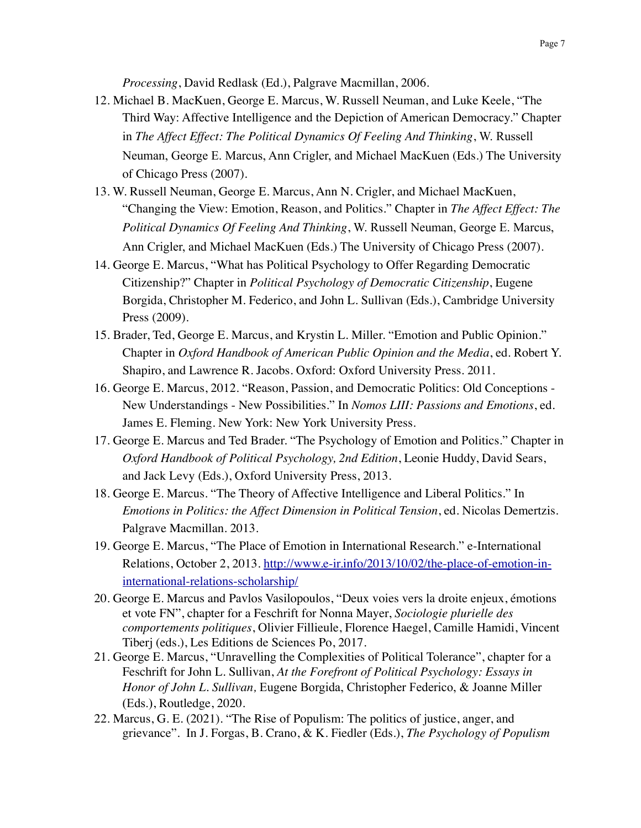*Processing*, David Redlask (Ed.), Palgrave Macmillan, 2006.

- 12. Michael B. MacKuen, George E. Marcus, W. Russell Neuman, and Luke Keele, "The Third Way: Affective Intelligence and the Depiction of American Democracy." Chapter in *The Affect Effect: The Political Dynamics Of Feeling And Thinking*, W. Russell Neuman, George E. Marcus, Ann Crigler, and Michael MacKuen (Eds.) The University of Chicago Press (2007).
- 13. W. Russell Neuman, George E. Marcus, Ann N. Crigler, and Michael MacKuen, "Changing the View: Emotion, Reason, and Politics." Chapter in *The Affect Effect: The Political Dynamics Of Feeling And Thinking*, W. Russell Neuman, George E. Marcus, Ann Crigler, and Michael MacKuen (Eds.) The University of Chicago Press (2007).
- 14. George E. Marcus, "What has Political Psychology to Offer Regarding Democratic Citizenship?" Chapter in *Political Psychology of Democratic Citizenship*, Eugene Borgida, Christopher M. Federico, and John L. Sullivan (Eds.), Cambridge University Press (2009).
- 15. Brader, Ted, George E. Marcus, and Krystin L. Miller. "Emotion and Public Opinion." Chapter in *Oxford Handbook of American Public Opinion and the Media*, ed. Robert Y. Shapiro, and Lawrence R. Jacobs. Oxford: Oxford University Press. 2011.
- 16. George E. Marcus, 2012. "Reason, Passion, and Democratic Politics: Old Conceptions New Understandings - New Possibilities." In *Nomos LIII: Passions and Emotions*, ed. James E. Fleming. New York: New York University Press.
- 17. George E. Marcus and Ted Brader. "The Psychology of Emotion and Politics." Chapter in *Oxford Handbook of Political Psychology, 2nd Edition*, Leonie Huddy, David Sears, and Jack Levy (Eds.), Oxford University Press, 2013.
- 18. George E. Marcus. "The Theory of Affective Intelligence and Liberal Politics." In *Emotions in Politics: the Affect Dimension in Political Tension*, ed. Nicolas Demertzis. Palgrave Macmillan. 2013.
- 19. George E. Marcus, "The Place of Emotion in International Research." e-International Relations, October 2, 2013. [http://www.e-ir.info/2013/10/02/the-place-of-emotion-in](http://www.e-ir.info/2013/10/02/the-place-of-emotion-in-international-relations-scholarship/)[international-relations-scholarship/](http://www.e-ir.info/2013/10/02/the-place-of-emotion-in-international-relations-scholarship/)
- 20. George E. Marcus and Pavlos Vasilopoulos, "Deux voies vers la droite enjeux, émotions et vote FN", chapter for a Feschrift for Nonna Mayer, *Sociologie plurielle des comportements politiques*, Olivier Fillieule, Florence Haegel, Camille Hamidi, Vincent Tiberj (eds.), Les Editions de Sciences Po, 2017.
- 21. George E. Marcus, "Unravelling the Complexities of Political Tolerance", chapter for a Feschrift for John L. Sullivan, *At the Forefront of Political Psychology: Essays in Honor of John L. Sullivan,* Eugene Borgida, Christopher Federico, & Joanne Miller (Eds.), Routledge, 2020.
- 22. Marcus, G. E. (2021). "The Rise of Populism: The politics of justice, anger, and grievance". In J. Forgas, B. Crano, & K. Fiedler (Eds.), *The Psychology of Populism*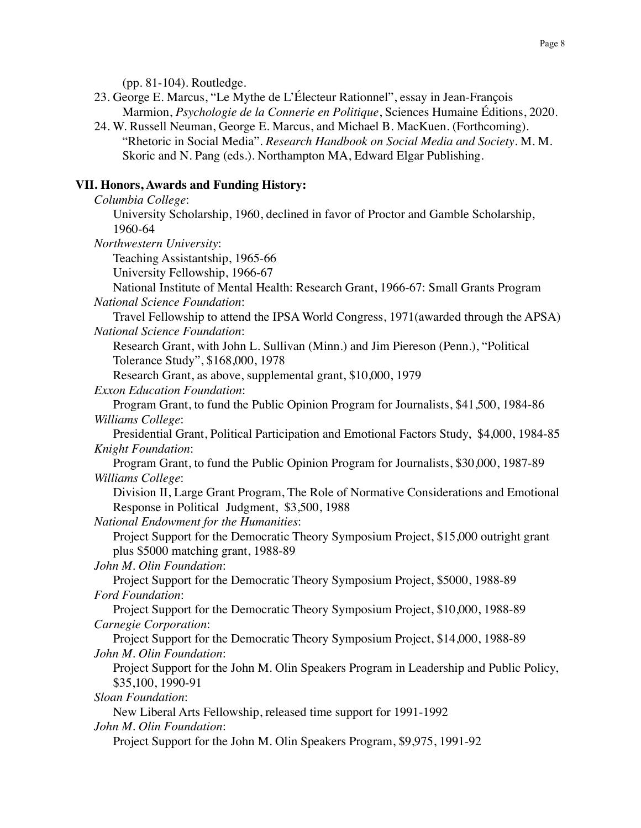(pp. 81-104). Routledge.

- 23. George E. Marcus, "Le Mythe de L'Électeur Rationnel", essay in Jean-François Marmion, *Psychologie de la Connerie en Politique*, Sciences Humaine Éditions, 2020.
- 24. W. Russell Neuman, George E. Marcus, and Michael B. MacKuen. (Forthcoming). "Rhetoric in Social Media". *Research Handbook on Social Media and Society*. M. M. Skoric and N. Pang (eds.). Northampton MA, Edward Elgar Publishing.

# **VII. Honors, Awards and Funding History:**

*Columbia College*:

University Scholarship, 1960, declined in favor of Proctor and Gamble Scholarship, 1960-64

*Northwestern University*:

Teaching Assistantship, 1965-66

University Fellowship, 1966-67

National Institute of Mental Health: Research Grant, 1966-67: Small Grants Program *National Science Foundation*:

Travel Fellowship to attend the IPSA World Congress, 1971(awarded through the APSA) *National Science Foundation*:

Research Grant, with John L. Sullivan (Minn.) and Jim Piereson (Penn.), "Political Tolerance Study", \$168,000, 1978

Research Grant, as above, supplemental grant, \$10,000, 1979

*Exxon Education Foundation*:

Program Grant, to fund the Public Opinion Program for Journalists, \$41,500, 1984-86 *Williams College*:

Presidential Grant, Political Participation and Emotional Factors Study, \$4,000, 1984-85 *Knight Foundation*:

Program Grant, to fund the Public Opinion Program for Journalists, \$30,000, 1987-89 *Williams College*:

Division II, Large Grant Program, The Role of Normative Considerations and Emotional Response in Political Judgment, \$3,500, 1988

*National Endowment for the Humanities*:

Project Support for the Democratic Theory Symposium Project, \$15,000 outright grant plus \$5000 matching grant, 1988-89

*John M. Olin Foundation*:

Project Support for the Democratic Theory Symposium Project, \$5000, 1988-89 *Ford Foundation*:

Project Support for the Democratic Theory Symposium Project, \$10,000, 1988-89 *Carnegie Corporation*:

Project Support for the Democratic Theory Symposium Project, \$14,000, 1988-89 *John M. Olin Foundation*:

Project Support for the John M. Olin Speakers Program in Leadership and Public Policy, \$35,100, 1990-91

*Sloan Foundation*:

New Liberal Arts Fellowship, released time support for 1991-1992

*John M. Olin Foundation*:

Project Support for the John M. Olin Speakers Program, \$9,975, 1991-92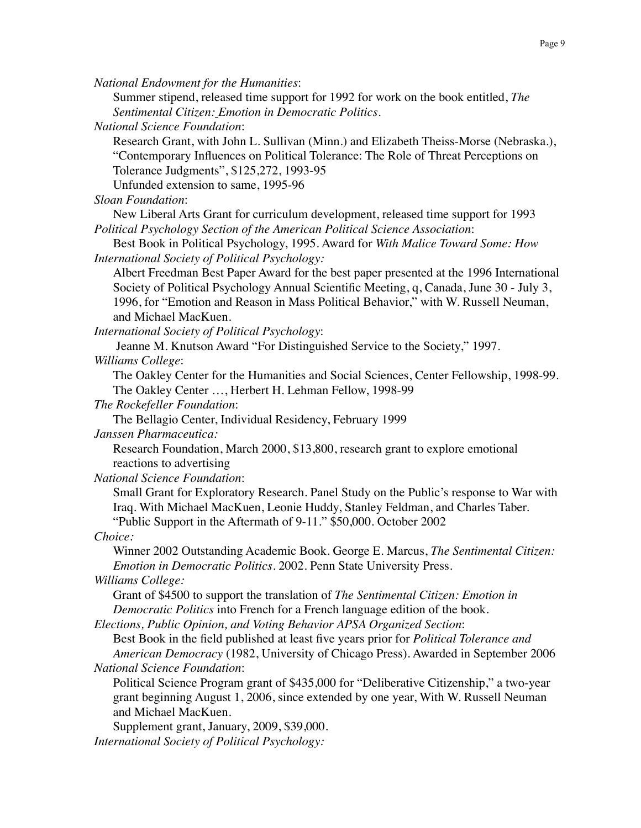*National Endowment for the Humanities*:

Summer stipend, released time support for 1992 for work on the book entitled, *The Sentimental Citizen: Emotion in Democratic Politics*.

*National Science Foundation*:

Research Grant, with John L. Sullivan (Minn.) and Elizabeth Theiss-Morse (Nebraska.), "Contemporary Influences on Political Tolerance: The Role of Threat Perceptions on Tolerance Judgments", \$125,272, 1993-95

Unfunded extension to same, 1995-96

*Sloan Foundation*:

New Liberal Arts Grant for curriculum development, released time support for 1993 *Political Psychology Section of the American Political Science Association*:

Best Book in Political Psychology, 1995. Award for *With Malice Toward Some: How International Society of Political Psychology:*

Albert Freedman Best Paper Award for the best paper presented at the 1996 International Society of Political Psychology Annual Scientific Meeting, q, Canada, June 30 - July 3, 1996, for "Emotion and Reason in Mass Political Behavior," with W. Russell Neuman, and Michael MacKuen.

*International Society of Political Psychology*:

 Jeanne M. Knutson Award "For Distinguished Service to the Society," 1997. *Williams College*:

The Oakley Center for the Humanities and Social Sciences, Center Fellowship, 1998-99. The Oakley Center …, Herbert H. Lehman Fellow, 1998-99

*The Rockefeller Foundation*:

The Bellagio Center, Individual Residency, February 1999

*Janssen Pharmaceutica:*

Research Foundation, March 2000, \$13,800, research grant to explore emotional reactions to advertising

*National Science Foundation*:

Small Grant for Exploratory Research. Panel Study on the Public's response to War with Iraq. With Michael MacKuen, Leonie Huddy, Stanley Feldman, and Charles Taber.

"Public Support in the Aftermath of 9-11." \$50,000. October 2002

*Choice:*

Winner 2002 Outstanding Academic Book. George E. Marcus, *The Sentimental Citizen: Emotion in Democratic Politics*. 2002. Penn State University Press.

*Williams College:*

Grant of \$4500 to support the translation of *The Sentimental Citizen: Emotion in Democratic Politics* into French for a French language edition of the book.

*Elections, Public Opinion, and Voting Behavior APSA Organized Section*:

Best Book in the field published at least five years prior for *Political Tolerance and American Democracy* (1982, University of Chicago Press). Awarded in September 2006

*National Science Foundation*:

Political Science Program grant of \$435,000 for "Deliberative Citizenship," a two-year grant beginning August 1, 2006, since extended by one year, With W. Russell Neuman and Michael MacKuen.

Supplement grant, January, 2009, \$39,000. *International Society of Political Psychology:*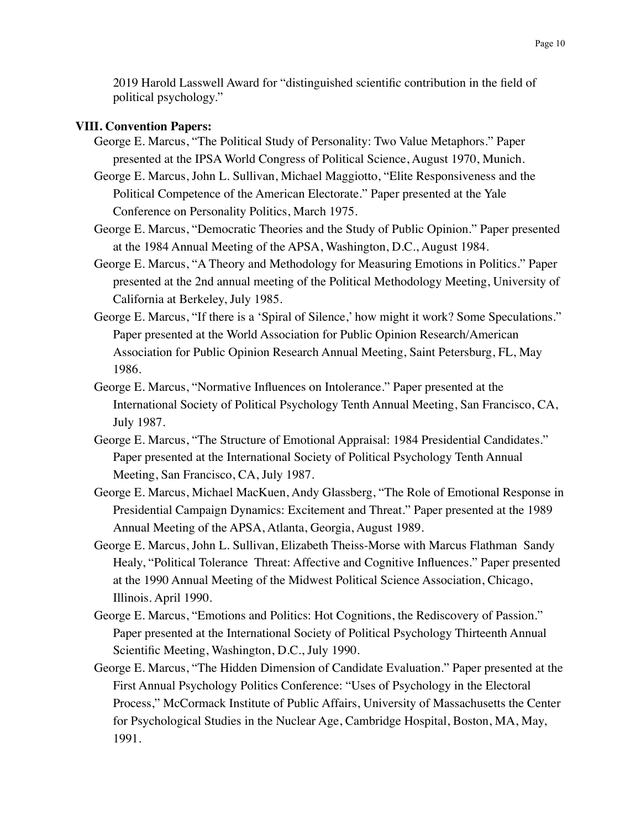2019 Harold Lasswell Award for "distinguished scientific contribution in the field of political psychology."

# **VIII. Convention Papers:**

George E. Marcus, "The Political Study of Personality: Two Value Metaphors." Paper presented at the IPSA World Congress of Political Science, August 1970, Munich.

George E. Marcus, John L. Sullivan, Michael Maggiotto, "Elite Responsiveness and the Political Competence of the American Electorate." Paper presented at the Yale Conference on Personality Politics, March 1975.

George E. Marcus, "Democratic Theories and the Study of Public Opinion." Paper presented at the 1984 Annual Meeting of the APSA, Washington, D.C., August 1984.

- George E. Marcus, "A Theory and Methodology for Measuring Emotions in Politics." Paper presented at the 2nd annual meeting of the Political Methodology Meeting, University of California at Berkeley, July 1985.
- George E. Marcus, "If there is a 'Spiral of Silence,' how might it work? Some Speculations." Paper presented at the World Association for Public Opinion Research/American Association for Public Opinion Research Annual Meeting, Saint Petersburg, FL, May 1986.
- George E. Marcus, "Normative Influences on Intolerance." Paper presented at the International Society of Political Psychology Tenth Annual Meeting, San Francisco, CA, July 1987.
- George E. Marcus, "The Structure of Emotional Appraisal: 1984 Presidential Candidates." Paper presented at the International Society of Political Psychology Tenth Annual Meeting, San Francisco, CA, July 1987.
- George E. Marcus, Michael MacKuen, Andy Glassberg, "The Role of Emotional Response in Presidential Campaign Dynamics: Excitement and Threat." Paper presented at the 1989 Annual Meeting of the APSA, Atlanta, Georgia, August 1989.
- George E. Marcus, John L. Sullivan, Elizabeth Theiss-Morse with Marcus Flathman Sandy Healy, "Political Tolerance Threat: Affective and Cognitive Influences." Paper presented at the 1990 Annual Meeting of the Midwest Political Science Association, Chicago, Illinois. April 1990.
- George E. Marcus, "Emotions and Politics: Hot Cognitions, the Rediscovery of Passion." Paper presented at the International Society of Political Psychology Thirteenth Annual Scientific Meeting, Washington, D.C., July 1990.
- George E. Marcus, "The Hidden Dimension of Candidate Evaluation." Paper presented at the First Annual Psychology Politics Conference: "Uses of Psychology in the Electoral Process," McCormack Institute of Public Affairs, University of Massachusetts the Center for Psychological Studies in the Nuclear Age, Cambridge Hospital, Boston, MA, May, 1991.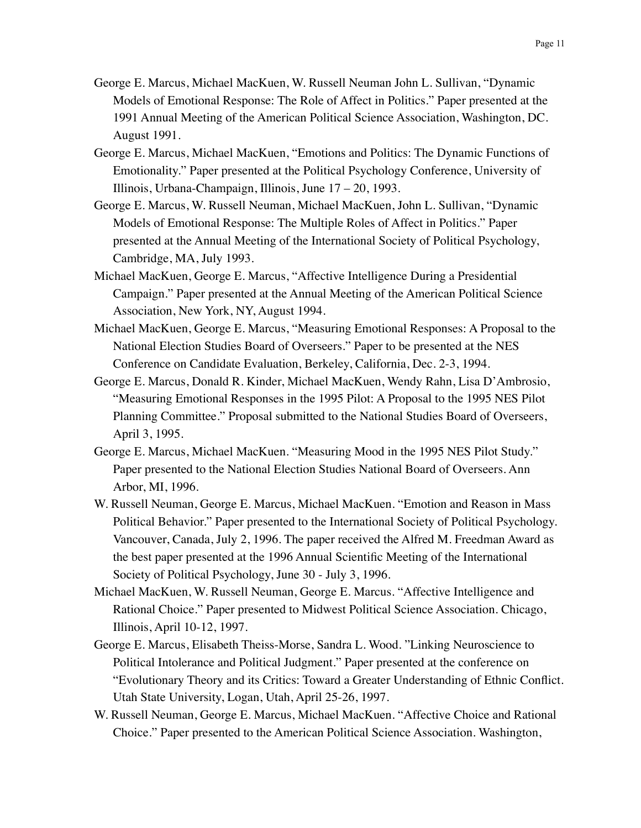- George E. Marcus, Michael MacKuen, W. Russell Neuman John L. Sullivan, "Dynamic Models of Emotional Response: The Role of Affect in Politics." Paper presented at the 1991 Annual Meeting of the American Political Science Association, Washington, DC. August 1991.
- George E. Marcus, Michael MacKuen, "Emotions and Politics: The Dynamic Functions of Emotionality." Paper presented at the Political Psychology Conference, University of Illinois, Urbana-Champaign, Illinois, June 17 – 20, 1993.
- George E. Marcus, W. Russell Neuman, Michael MacKuen, John L. Sullivan, "Dynamic Models of Emotional Response: The Multiple Roles of Affect in Politics." Paper presented at the Annual Meeting of the International Society of Political Psychology, Cambridge, MA, July 1993.
- Michael MacKuen, George E. Marcus, "Affective Intelligence During a Presidential Campaign." Paper presented at the Annual Meeting of the American Political Science Association, New York, NY, August 1994.
- Michael MacKuen, George E. Marcus, "Measuring Emotional Responses: A Proposal to the National Election Studies Board of Overseers." Paper to be presented at the NES Conference on Candidate Evaluation, Berkeley, California, Dec. 2-3, 1994.
- George E. Marcus, Donald R. Kinder, Michael MacKuen, Wendy Rahn, Lisa D'Ambrosio, "Measuring Emotional Responses in the 1995 Pilot: A Proposal to the 1995 NES Pilot Planning Committee." Proposal submitted to the National Studies Board of Overseers, April 3, 1995.
- George E. Marcus, Michael MacKuen. "Measuring Mood in the 1995 NES Pilot Study." Paper presented to the National Election Studies National Board of Overseers. Ann Arbor, MI, 1996.
- W. Russell Neuman, George E. Marcus, Michael MacKuen. "Emotion and Reason in Mass Political Behavior." Paper presented to the International Society of Political Psychology. Vancouver, Canada, July 2, 1996. The paper received the Alfred M. Freedman Award as the best paper presented at the 1996 Annual Scientific Meeting of the International Society of Political Psychology, June 30 - July 3, 1996.
- Michael MacKuen, W. Russell Neuman, George E. Marcus. "Affective Intelligence and Rational Choice." Paper presented to Midwest Political Science Association. Chicago, Illinois, April 10-12, 1997.
- George E. Marcus, Elisabeth Theiss-Morse, Sandra L. Wood. "Linking Neuroscience to Political Intolerance and Political Judgment." Paper presented at the conference on "Evolutionary Theory and its Critics: Toward a Greater Understanding of Ethnic Conflict. Utah State University, Logan, Utah, April 25-26, 1997.
- W. Russell Neuman, George E. Marcus, Michael MacKuen. "Affective Choice and Rational Choice." Paper presented to the American Political Science Association. Washington,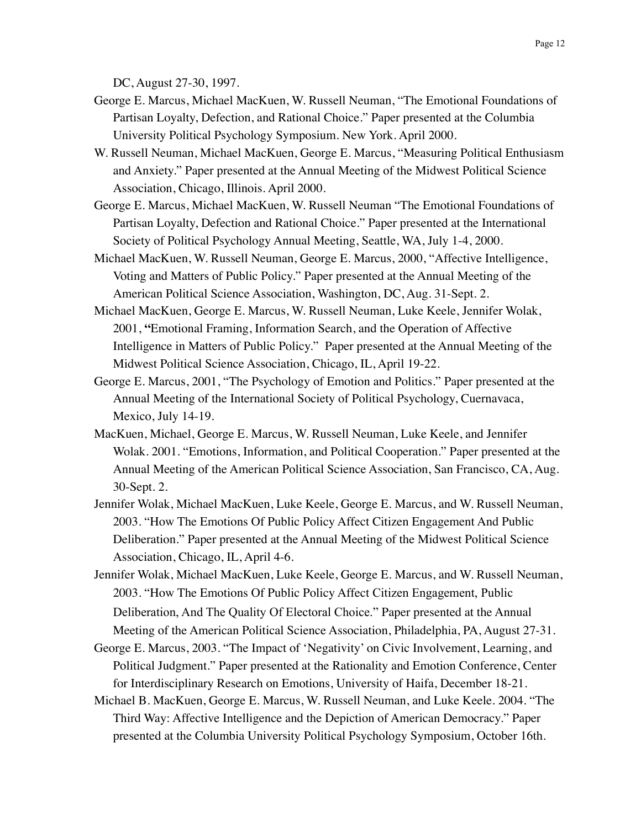DC, August 27-30, 1997.

- George E. Marcus, Michael MacKuen, W. Russell Neuman, "The Emotional Foundations of Partisan Loyalty, Defection, and Rational Choice." Paper presented at the Columbia University Political Psychology Symposium. New York. April 2000.
- W. Russell Neuman, Michael MacKuen, George E. Marcus, "Measuring Political Enthusiasm and Anxiety." Paper presented at the Annual Meeting of the Midwest Political Science Association, Chicago, Illinois. April 2000.
- George E. Marcus, Michael MacKuen, W. Russell Neuman "The Emotional Foundations of Partisan Loyalty, Defection and Rational Choice." Paper presented at the International Society of Political Psychology Annual Meeting, Seattle, WA, July 1-4, 2000.
- Michael MacKuen, W. Russell Neuman, George E. Marcus, 2000, "Affective Intelligence, Voting and Matters of Public Policy." Paper presented at the Annual Meeting of the American Political Science Association, Washington, DC, Aug. 31-Sept. 2.
- Michael MacKuen, George E. Marcus, W. Russell Neuman, Luke Keele, Jennifer Wolak, 2001, **"**Emotional Framing, Information Search, and the Operation of Affective Intelligence in Matters of Public Policy." Paper presented at the Annual Meeting of the Midwest Political Science Association, Chicago, IL, April 19-22.
- George E. Marcus, 2001, "The Psychology of Emotion and Politics." Paper presented at the Annual Meeting of the International Society of Political Psychology, Cuernavaca, Mexico, July 14-19.
- MacKuen, Michael, George E. Marcus, W. Russell Neuman, Luke Keele, and Jennifer Wolak. 2001. "Emotions, Information, and Political Cooperation." Paper presented at the Annual Meeting of the American Political Science Association, San Francisco, CA, Aug. 30-Sept. 2.
- Jennifer Wolak, Michael MacKuen, Luke Keele, George E. Marcus, and W. Russell Neuman, 2003. "How The Emotions Of Public Policy Affect Citizen Engagement And Public Deliberation." Paper presented at the Annual Meeting of the Midwest Political Science Association, Chicago, IL, April 4-6.
- Jennifer Wolak, Michael MacKuen, Luke Keele, George E. Marcus, and W. Russell Neuman, 2003. "How The Emotions Of Public Policy Affect Citizen Engagement, Public Deliberation, And The Quality Of Electoral Choice." Paper presented at the Annual Meeting of the American Political Science Association, Philadelphia, PA, August 27-31.
- George E. Marcus, 2003. "The Impact of 'Negativity' on Civic Involvement, Learning, and Political Judgment." Paper presented at the Rationality and Emotion Conference, Center for Interdisciplinary Research on Emotions, University of Haifa, December 18-21.
- Michael B. MacKuen, George E. Marcus, W. Russell Neuman, and Luke Keele. 2004. "The Third Way: Affective Intelligence and the Depiction of American Democracy." Paper presented at the Columbia University Political Psychology Symposium, October 16th.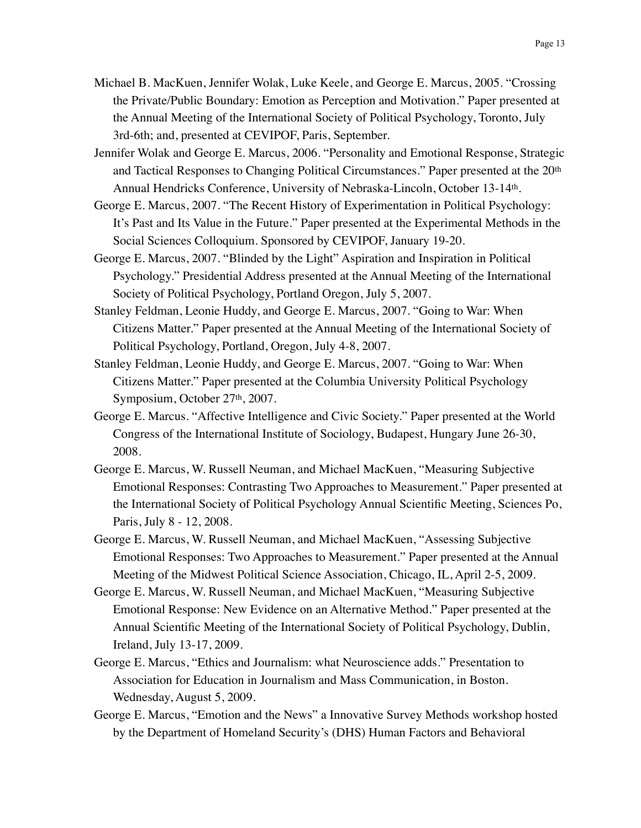- Michael B. MacKuen, Jennifer Wolak, Luke Keele, and George E. Marcus, 2005. "Crossing the Private/Public Boundary: Emotion as Perception and Motivation." Paper presented at the Annual Meeting of the International Society of Political Psychology, Toronto, July 3rd-6th; and, presented at CEVIPOF, Paris, September.
- Jennifer Wolak and George E. Marcus, 2006. "Personality and Emotional Response, Strategic and Tactical Responses to Changing Political Circumstances." Paper presented at the 20th Annual Hendricks Conference, University of Nebraska-Lincoln, October 13-14th.
- George E. Marcus, 2007. "The Recent History of Experimentation in Political Psychology: It's Past and Its Value in the Future." Paper presented at the Experimental Methods in the Social Sciences Colloquium. Sponsored by CEVIPOF, January 19-20.
- George E. Marcus, 2007. "Blinded by the Light" Aspiration and Inspiration in Political Psychology." Presidential Address presented at the Annual Meeting of the International Society of Political Psychology, Portland Oregon, July 5, 2007.
- Stanley Feldman, Leonie Huddy, and George E. Marcus, 2007. "Going to War: When Citizens Matter." Paper presented at the Annual Meeting of the International Society of Political Psychology, Portland, Oregon, July 4-8, 2007.
- Stanley Feldman, Leonie Huddy, and George E. Marcus, 2007. "Going to War: When Citizens Matter." Paper presented at the Columbia University Political Psychology Symposium, October 27<sup>th</sup>, 2007.
- George E. Marcus. "Affective Intelligence and Civic Society." Paper presented at the World Congress of the International Institute of Sociology, Budapest, Hungary June 26-30, 2008.
- George E. Marcus, W. Russell Neuman, and Michael MacKuen, "Measuring Subjective Emotional Responses: Contrasting Two Approaches to Measurement." Paper presented at the International Society of Political Psychology Annual Scientific Meeting, Sciences Po, Paris, July 8 - 12, 2008.
- George E. Marcus, W. Russell Neuman, and Michael MacKuen, "Assessing Subjective Emotional Responses: Two Approaches to Measurement." Paper presented at the Annual Meeting of the Midwest Political Science Association, Chicago, IL, April 2-5, 2009.
- George E. Marcus, W. Russell Neuman, and Michael MacKuen, "Measuring Subjective Emotional Response: New Evidence on an Alternative Method." Paper presented at the Annual Scientific Meeting of the International Society of Political Psychology, Dublin, Ireland, July 13-17, 2009.
- George E. Marcus, "Ethics and Journalism: what Neuroscience adds." Presentation to Association for Education in Journalism and Mass Communication, in Boston. Wednesday, August 5, 2009.
- George E. Marcus, "Emotion and the News" a Innovative Survey Methods workshop hosted by the Department of Homeland Security's (DHS) Human Factors and Behavioral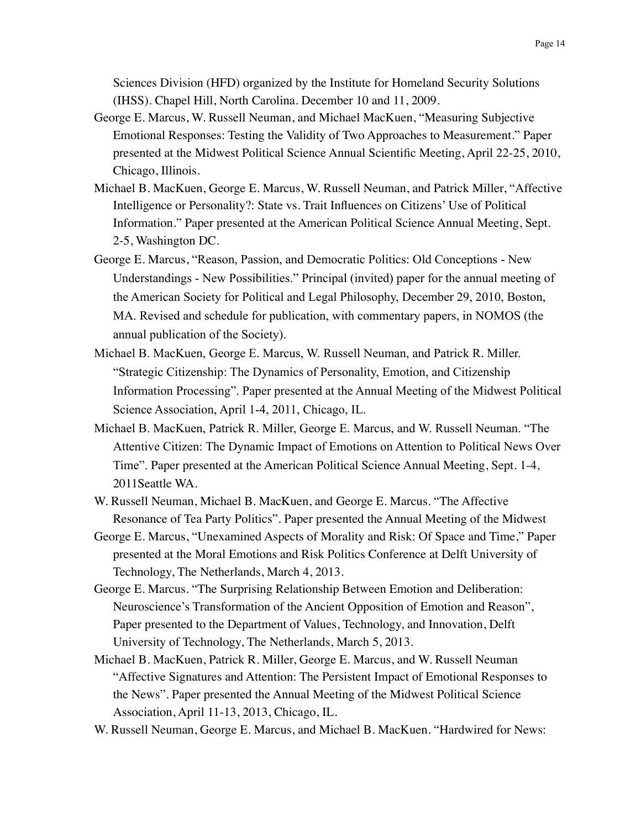Sciences Division (HFD) organized by the Institute for Homeland Security Solutions (IHSS). Chapel Hill, North Carolina. December 10 and 11, 2009.

- George E. Marcus, W. Russell Neuman, and Michael MacKuen, "Measuring Subjective Emotional Responses: Testing the Validity of Two Approaches to Measurement." Paper presented at the Midwest Political Science Annual Scientific Meeting, April 22-25, 2010, Chicago, Illinois.
- Michael B. MacKuen, George E. Marcus, W. Russell Neuman, and Patrick Miller, "Affective Intelligence or Personality?: State vs. Trait Influences on Citizens' Use of Political Information." Paper presented at the American Political Science Annual Meeting, Sept. 2-5, Washington DC.
- George E. Marcus, "Reason, Passion, and Democratic Politics: Old Conceptions New Understandings - New Possibilities." Principal (invited) paper for the annual meeting of the American Society for Political and Legal Philosophy, December 29, 2010, Boston, MA. Revised and schedule for publication, with commentary papers, in NOMOS (the annual publication of the Society).
- Michael B. MacKuen, George E. Marcus, W. Russell Neuman, and Patrick R. Miller. "Strategic Citizenship: The Dynamics of Personality, Emotion, and Citizenship Information Processing". Paper presented at the Annual Meeting of the Midwest Political Science Association, April 1-4, 2011, Chicago, IL.
- Michael B. MacKuen, Patrick R. Miller, George E. Marcus, and W. Russell Neuman. "The Attentive Citizen: The Dynamic Impact of Emotions on Attention to Political News Over Time". Paper presented at the American Political Science Annual Meeting, Sept. 1-4, 2011Seattle WA.
- W. Russell Neuman, Michael B. MacKuen, and George E. Marcus. "The Affective Resonance of Tea Party Politics". Paper presented the Annual Meeting of the Midwest
- George E. Marcus, "Unexamined Aspects of Morality and Risk: Of Space and Time," Paper presented at the Moral Emotions and Risk Politics Conference at Delft University of Technology, The Netherlands, March 4, 2013.
- George E. Marcus. "The Surprising Relationship Between Emotion and Deliberation: Neuroscience's Transformation of the Ancient Opposition of Emotion and Reason", Paper presented to the Department of Values, Technology, and Innovation, Delft University of Technology, The Netherlands, March 5, 2013.
- Michael B. MacKuen, Patrick R. Miller, George E. Marcus, and W. Russell Neuman "Affective Signatures and Attention: The Persistent Impact of Emotional Responses to the News". Paper presented the Annual Meeting of the Midwest Political Science Association, April 11-13, 2013, Chicago, IL.
- W. Russell Neuman, George E. Marcus, and Michael B. MacKuen. "Hardwired for News: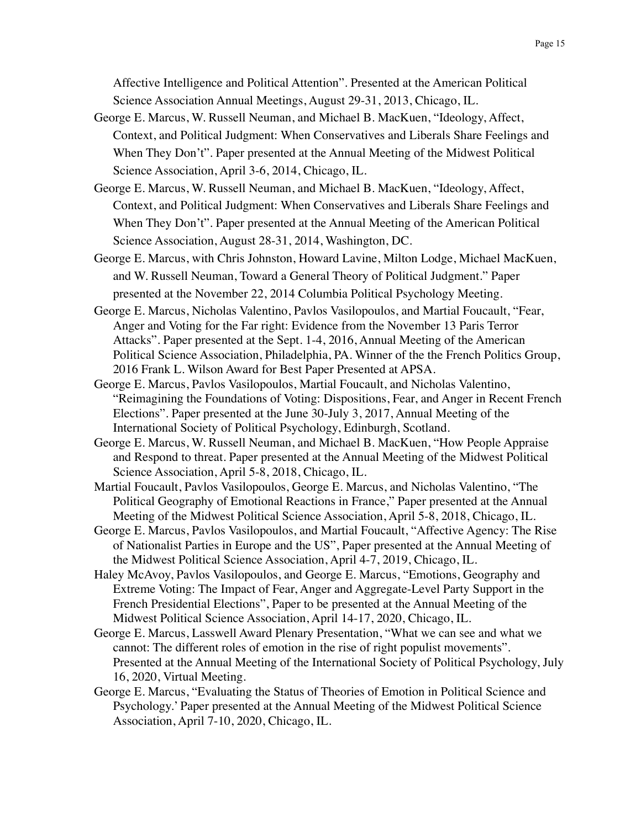Affective Intelligence and Political Attention". Presented at the American Political Science Association Annual Meetings, August 29-31, 2013, Chicago, IL.

- George E. Marcus, W. Russell Neuman, and Michael B. MacKuen, "Ideology, Affect, Context, and Political Judgment: When Conservatives and Liberals Share Feelings and When They Don't". Paper presented at the Annual Meeting of the Midwest Political Science Association, April 3-6, 2014, Chicago, IL.
- George E. Marcus, W. Russell Neuman, and Michael B. MacKuen, "Ideology, Affect, Context, and Political Judgment: When Conservatives and Liberals Share Feelings and When They Don't". Paper presented at the Annual Meeting of the American Political Science Association, August 28-31, 2014, Washington, DC.
- George E. Marcus, with Chris Johnston, Howard Lavine, Milton Lodge, Michael MacKuen, and W. Russell Neuman, Toward a General Theory of Political Judgment." Paper presented at the November 22, 2014 Columbia Political Psychology Meeting.
- George E. Marcus, Nicholas Valentino, Pavlos Vasilopoulos, and Martial Foucault, "Fear, Anger and Voting for the Far right: Evidence from the November 13 Paris Terror Attacks". Paper presented at the Sept. 1-4, 2016, Annual Meeting of the American Political Science Association, Philadelphia, PA. Winner of the the French Politics Group, 2016 Frank L. Wilson Award for Best Paper Presented at APSA.
- George E. Marcus, Pavlos Vasilopoulos, Martial Foucault, and Nicholas Valentino, "Reimagining the Foundations of Voting: Dispositions, Fear, and Anger in Recent French Elections". Paper presented at the June 30-July 3, 2017, Annual Meeting of the International Society of Political Psychology, Edinburgh, Scotland.
- George E. Marcus, W. Russell Neuman, and Michael B. MacKuen, "How People Appraise and Respond to threat. Paper presented at the Annual Meeting of the Midwest Political Science Association, April 5-8, 2018, Chicago, IL.
- Martial Foucault, Pavlos Vasilopoulos, George E. Marcus, and Nicholas Valentino, "The Political Geography of Emotional Reactions in France," Paper presented at the Annual Meeting of the Midwest Political Science Association, April 5-8, 2018, Chicago, IL.
- George E. Marcus, Pavlos Vasilopoulos, and Martial Foucault, "Affective Agency: The Rise of Nationalist Parties in Europe and the US", Paper presented at the Annual Meeting of the Midwest Political Science Association, April 4-7, 2019, Chicago, IL.
- Haley McAvoy, Pavlos Vasilopoulos, and George E. Marcus, "Emotions, Geography and Extreme Voting: The Impact of Fear, Anger and Aggregate-Level Party Support in the French Presidential Elections", Paper to be presented at the Annual Meeting of the Midwest Political Science Association, April 14-17, 2020, Chicago, IL.
- George E. Marcus, Lasswell Award Plenary Presentation, "What we can see and what we cannot: The different roles of emotion in the rise of right populist movements". Presented at the Annual Meeting of the International Society of Political Psychology, July 16, 2020, Virtual Meeting.
- George E. Marcus, "Evaluating the Status of Theories of Emotion in Political Science and Psychology.' Paper presented at the Annual Meeting of the Midwest Political Science Association, April 7-10, 2020, Chicago, IL.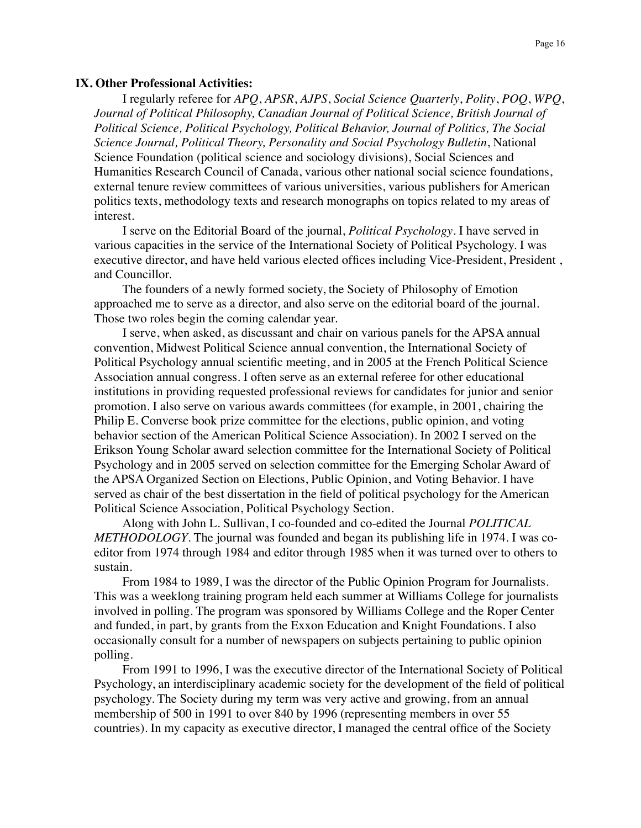#### **IX. Other Professional Activities:**

I regularly referee for *APQ*, *APSR*, *AJPS*, *Social Science Quarterly*, *Polity*, *POQ*, *WPQ*, *Journal of Political Philosophy, Canadian Journal of Political Science, British Journal of Political Science, Political Psychology, Political Behavior, Journal of Politics, The Social Science Journal, Political Theory, Personality and Social Psychology Bulletin*, National Science Foundation (political science and sociology divisions), Social Sciences and Humanities Research Council of Canada, various other national social science foundations, external tenure review committees of various universities, various publishers for American politics texts, methodology texts and research monographs on topics related to my areas of interest.

I serve on the Editorial Board of the journal, *Political Psychology*. I have served in various capacities in the service of the International Society of Political Psychology. I was executive director, and have held various elected offices including Vice-President, President , and Councillor.

The founders of a newly formed society, the Society of Philosophy of Emotion approached me to serve as a director, and also serve on the editorial board of the journal. Those two roles begin the coming calendar year.

I serve, when asked, as discussant and chair on various panels for the APSA annual convention, Midwest Political Science annual convention, the International Society of Political Psychology annual scientific meeting, and in 2005 at the French Political Science Association annual congress. I often serve as an external referee for other educational institutions in providing requested professional reviews for candidates for junior and senior promotion. I also serve on various awards committees (for example, in 2001, chairing the Philip E. Converse book prize committee for the elections, public opinion, and voting behavior section of the American Political Science Association). In 2002 I served on the Erikson Young Scholar award selection committee for the International Society of Political Psychology and in 2005 served on selection committee for the Emerging Scholar Award of the APSA Organized Section on Elections, Public Opinion, and Voting Behavior. I have served as chair of the best dissertation in the field of political psychology for the American Political Science Association, Political Psychology Section.

Along with John L. Sullivan, I co-founded and co-edited the Journal *POLITICAL METHODOLOGY*. The journal was founded and began its publishing life in 1974. I was coeditor from 1974 through 1984 and editor through 1985 when it was turned over to others to sustain.

From 1984 to 1989, I was the director of the Public Opinion Program for Journalists. This was a weeklong training program held each summer at Williams College for journalists involved in polling. The program was sponsored by Williams College and the Roper Center and funded, in part, by grants from the Exxon Education and Knight Foundations. I also occasionally consult for a number of newspapers on subjects pertaining to public opinion polling.

From 1991 to 1996, I was the executive director of the International Society of Political Psychology, an interdisciplinary academic society for the development of the field of political psychology. The Society during my term was very active and growing, from an annual membership of 500 in 1991 to over 840 by 1996 (representing members in over 55 countries). In my capacity as executive director, I managed the central office of the Society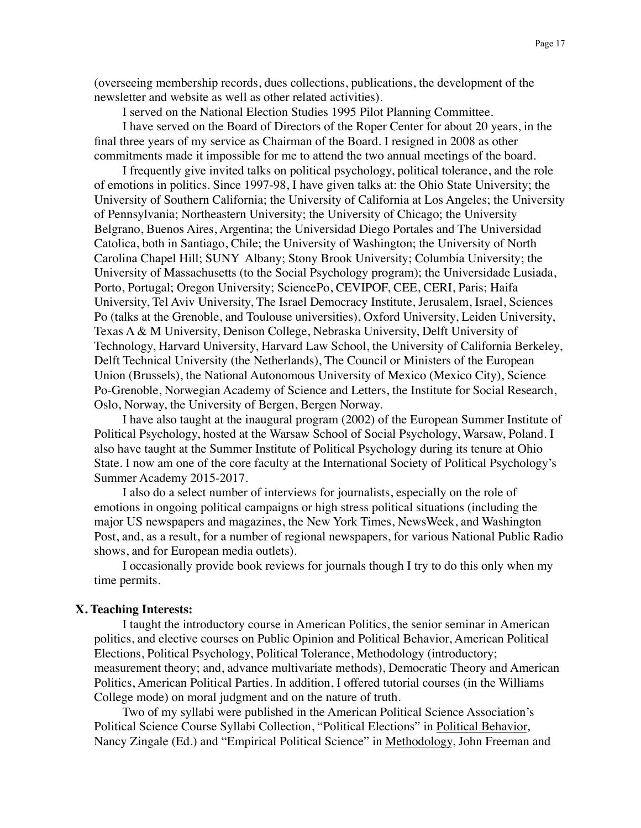(overseeing membership records, dues collections, publications, the development of the newsletter and website as well as other related activities).

I served on the National Election Studies 1995 Pilot Planning Committee.

I have served on the Board of Directors of the Roper Center for about 20 years, in the final three years of my service as Chairman of the Board. I resigned in 2008 as other commitments made it impossible for me to attend the two annual meetings of the board.

I frequently give invited talks on political psychology, political tolerance, and the role of emotions in politics. Since 1997-98, I have given talks at: the Ohio State University; the University of Southern California; the University of California at Los Angeles; the University of Pennsylvania; Northeastern University; the University of Chicago; the University Belgrano, Buenos Aires, Argentina; the Universidad Diego Portales and The Universidad Catolica, both in Santiago, Chile; the University of Washington; the University of North Carolina Chapel Hill; SUNY Albany; Stony Brook University; Columbia University; the University of Massachusetts (to the Social Psychology program); the Universidade Lusiada, Porto, Portugal; Oregon University; SciencePo, CEVIPOF, CEE, CERI, Paris; Haifa University, Tel Aviv University, The Israel Democracy Institute, Jerusalem, Israel, Sciences Po (talks at the Grenoble, and Toulouse universities), Oxford University, Leiden University, Texas A & M University, Denison College, Nebraska University, Delft University of Technology, Harvard University, Harvard Law School, the University of California Berkeley, Delft Technical University (the Netherlands), The Council or Ministers of the European Union (Brussels), the National Autonomous University of Mexico (Mexico City), Science Po-Grenoble, Norwegian Academy of Science and Letters, the Institute for Social Research, Oslo, Norway, the University of Bergen, Bergen Norway.

I have also taught at the inaugural program (2002) of the European Summer Institute of Political Psychology, hosted at the Warsaw School of Social Psychology, Warsaw, Poland. I also have taught at the Summer Institute of Political Psychology during its tenure at Ohio State. I now am one of the core faculty at the International Society of Political Psychology's Summer Academy 2015-2017.

I also do a select number of interviews for journalists, especially on the role of emotions in ongoing political campaigns or high stress political situations (including the major US newspapers and magazines, the New York Times, NewsWeek, and Washington Post, and, as a result, for a number of regional newspapers, for various National Public Radio shows, and for European media outlets).

I occasionally provide book reviews for journals though I try to do this only when my time permits.

## **X. Teaching Interests:**

I taught the introductory course in American Politics, the senior seminar in American politics, and elective courses on Public Opinion and Political Behavior, American Political Elections, Political Psychology, Political Tolerance, Methodology (introductory; measurement theory; and, advance multivariate methods), Democratic Theory and American Politics, American Political Parties. In addition, I offered tutorial courses (in the Williams College mode) on moral judgment and on the nature of truth.

Two of my syllabi were published in the American Political Science Association's Political Science Course Syllabi Collection, "Political Elections" in Political Behavior, Nancy Zingale (Ed.) and "Empirical Political Science" in Methodology, John Freeman and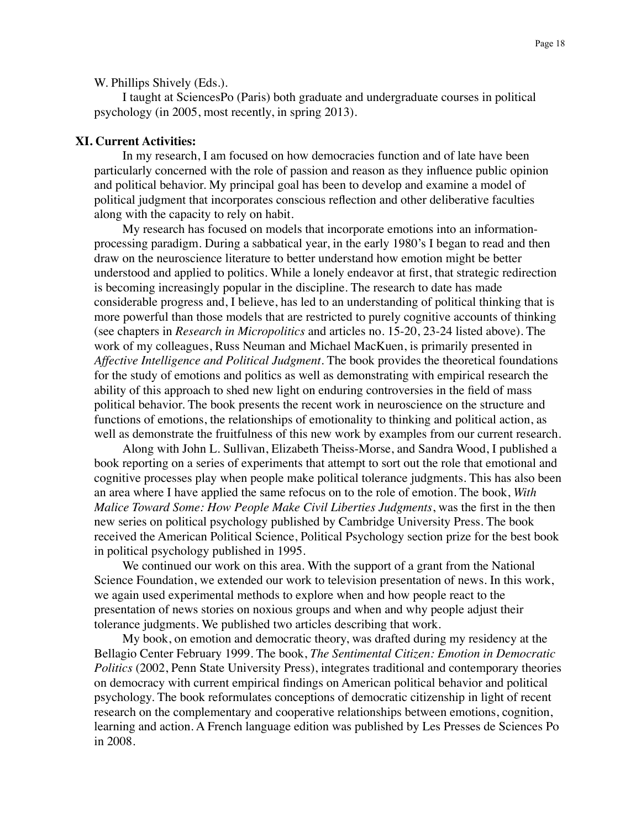W. Phillips Shively (Eds.).

I taught at SciencesPo (Paris) both graduate and undergraduate courses in political psychology (in 2005, most recently, in spring 2013).

### **XI. Current Activities:**

In my research, I am focused on how democracies function and of late have been particularly concerned with the role of passion and reason as they influence public opinion and political behavior. My principal goal has been to develop and examine a model of political judgment that incorporates conscious reflection and other deliberative faculties along with the capacity to rely on habit.

My research has focused on models that incorporate emotions into an informationprocessing paradigm. During a sabbatical year, in the early 1980's I began to read and then draw on the neuroscience literature to better understand how emotion might be better understood and applied to politics. While a lonely endeavor at first, that strategic redirection is becoming increasingly popular in the discipline. The research to date has made considerable progress and, I believe, has led to an understanding of political thinking that is more powerful than those models that are restricted to purely cognitive accounts of thinking (see chapters in *Research in Micropolitics* and articles no. 15-20, 23-24 listed above). The work of my colleagues, Russ Neuman and Michael MacKuen, is primarily presented in *Affective Intelligence and Political Judgment*. The book provides the theoretical foundations for the study of emotions and politics as well as demonstrating with empirical research the ability of this approach to shed new light on enduring controversies in the field of mass political behavior. The book presents the recent work in neuroscience on the structure and functions of emotions, the relationships of emotionality to thinking and political action, as well as demonstrate the fruitfulness of this new work by examples from our current research.

Along with John L. Sullivan, Elizabeth Theiss-Morse, and Sandra Wood, I published a book reporting on a series of experiments that attempt to sort out the role that emotional and cognitive processes play when people make political tolerance judgments. This has also been an area where I have applied the same refocus on to the role of emotion. The book, *With Malice Toward Some: How People Make Civil Liberties Judgments*, was the first in the then new series on political psychology published by Cambridge University Press. The book received the American Political Science, Political Psychology section prize for the best book in political psychology published in 1995.

We continued our work on this area. With the support of a grant from the National Science Foundation, we extended our work to television presentation of news. In this work, we again used experimental methods to explore when and how people react to the presentation of news stories on noxious groups and when and why people adjust their tolerance judgments. We published two articles describing that work.

My book, on emotion and democratic theory, was drafted during my residency at the Bellagio Center February 1999. The book, *The Sentimental Citizen: Emotion in Democratic Politics* (2002, Penn State University Press), integrates traditional and contemporary theories on democracy with current empirical findings on American political behavior and political psychology. The book reformulates conceptions of democratic citizenship in light of recent research on the complementary and cooperative relationships between emotions, cognition, learning and action. A French language edition was published by Les Presses de Sciences Po in 2008.